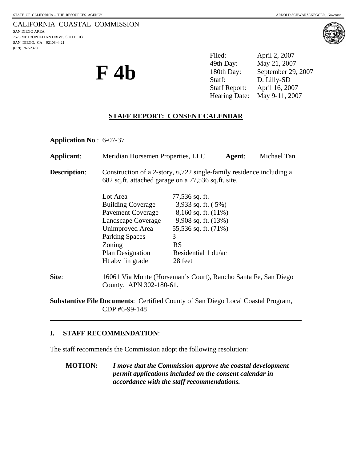### CALIFORNIA COASTAL COMMISSION SAN DIEGO AREA

7575 METROPOLITAN DRIVE, SUITE 103 SAN DIEGO, CA 92108-4421 (619) 767-2370



**F 4b** 

Filed: April 2, 2007 49th Day: May 21, 2007 180th Day: September 29, 2007 Staff: D. Lilly-SD Staff Report: April 16, 2007 Hearing Date: May 9-11, 2007

# **STAFF REPORT: CONSENT CALENDAR**

**Application No**.: 6-07-37

| Applicant:                                                                              | Meridian Horsemen Properties, LLC                                                                                           |                          | Agent: | Michael Tan |
|-----------------------------------------------------------------------------------------|-----------------------------------------------------------------------------------------------------------------------------|--------------------------|--------|-------------|
| <b>Description:</b>                                                                     | Construction of a 2-story, 6,722 single-family residence including a<br>682 sq.ft. attached garage on a 77,536 sq.ft. site. |                          |        |             |
|                                                                                         | Lot Area                                                                                                                    | 77,536 sq. ft.           |        |             |
|                                                                                         | <b>Building Coverage</b>                                                                                                    | 3,933 sq. ft. $(5%)$     |        |             |
|                                                                                         | Pavement Coverage                                                                                                           | $8,160$ sq. ft. $(11\%)$ |        |             |
|                                                                                         | Landscape Coverage                                                                                                          | 9,908 sq. ft. (13%)      |        |             |
|                                                                                         | Unimproved Area                                                                                                             | 55,536 sq. ft. (71%)     |        |             |
|                                                                                         | <b>Parking Spaces</b>                                                                                                       | 3                        |        |             |
|                                                                                         | Zoning                                                                                                                      | <b>RS</b>                |        |             |
|                                                                                         | Plan Designation                                                                                                            | Residential 1 du/ac      |        |             |
|                                                                                         | Ht abv fin grade                                                                                                            | 28 feet                  |        |             |
| Site:                                                                                   | 16061 Via Monte (Horseman's Court), Rancho Santa Fe, San Diego<br>County. APN 302-180-61.                                   |                          |        |             |
| <b>Substantive File Documents: Certified County of San Diego Local Coastal Program,</b> |                                                                                                                             |                          |        |             |

CDP #6-99-148

#### **I. STAFF RECOMMENDATION**:

l

The staff recommends the Commission adopt the following resolution:

**MOTION:** *I move that the Commission approve the coastal development permit applications included on the consent calendar in accordance with the staff recommendations.*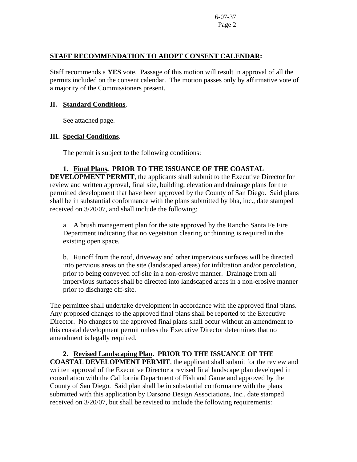### **STAFF RECOMMENDATION TO ADOPT CONSENT CALENDAR:**

Staff recommends a **YES** vote. Passage of this motion will result in approval of all the permits included on the consent calendar. The motion passes only by affirmative vote of a majority of the Commissioners present.

### **II. Standard Conditions**.

See attached page.

## **III. Special Conditions**.

The permit is subject to the following conditions:

## **1. Final Plans. PRIOR TO THE ISSUANCE OF THE COASTAL**

**DEVELOPMENT PERMIT**, the applicants shall submit to the Executive Director for review and written approval, final site, building, elevation and drainage plans for the permitted development that have been approved by the County of San Diego. Said plans shall be in substantial conformance with the plans submitted by bha, inc., date stamped received on 3/20/07, and shall include the following:

 a. A brush management plan for the site approved by the Rancho Santa Fe Fire Department indicating that no vegetation clearing or thinning is required in the existing open space.

b. Runoff from the roof, driveway and other impervious surfaces will be directed into pervious areas on the site (landscaped areas) for infiltration and/or percolation, prior to being conveyed off-site in a non-erosive manner. Drainage from all impervious surfaces shall be directed into landscaped areas in a non-erosive manner prior to discharge off-site.

The permittee shall undertake development in accordance with the approved final plans. Any proposed changes to the approved final plans shall be reported to the Executive Director. No changes to the approved final plans shall occur without an amendment to this coastal development permit unless the Executive Director determines that no amendment is legally required.

**2. Revised Landscaping Plan. PRIOR TO THE ISSUANCE OF THE COASTAL DEVELOPMENT PERMIT**, the applicant shall submit for the review and written approval of the Executive Director a revised final landscape plan developed in consultation with the California Department of Fish and Game and approved by the County of San Diego. Said plan shall be in substantial conformance with the plans submitted with this application by Darsono Design Associations, Inc., date stamped received on 3/20/07, but shall be revised to include the following requirements: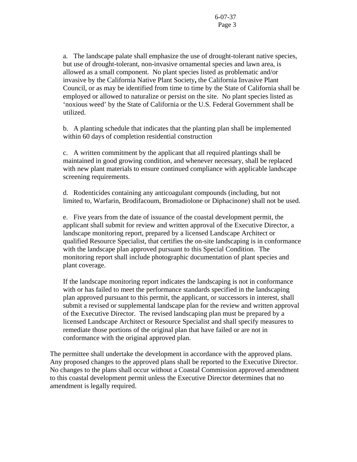a. The landscape palate shall emphasize the use of drought-tolerant native species, but use of drought-tolerant, non-invasive ornamental species and lawn area, is allowed as a small component. No plant species listed as problematic and/or invasive by the California Native Plant Society**,** the California Invasive Plant Council, or as may be identified from time to time by the State of California shall be employed or allowed to naturalize or persist on the site. No plant species listed as 'noxious weed' by the State of California or the U.S. Federal Government shall be utilized.

b. A planting schedule that indicates that the planting plan shall be implemented within 60 days of completion residential construction

c. A written commitment by the applicant that all required plantings shall be maintained in good growing condition, and whenever necessary, shall be replaced with new plant materials to ensure continued compliance with applicable landscape screening requirements.

d. Rodenticides containing any anticoagulant compounds (including, but not limited to, Warfarin, Brodifacoum, Bromadiolone or Diphacinone) shall not be used.

e. Five years from the date of issuance of the coastal development permit, the applicant shall submit for review and written approval of the Executive Director, a landscape monitoring report, prepared by a licensed Landscape Architect or qualified Resource Specialist, that certifies the on-site landscaping is in conformance with the landscape plan approved pursuant to this Special Condition. The monitoring report shall include photographic documentation of plant species and plant coverage.

If the landscape monitoring report indicates the landscaping is not in conformance with or has failed to meet the performance standards specified in the landscaping plan approved pursuant to this permit, the applicant, or successors in interest, shall submit a revised or supplemental landscape plan for the review and written approval of the Executive Director. The revised landscaping plan must be prepared by a licensed Landscape Architect or Resource Specialist and shall specify measures to remediate those portions of the original plan that have failed or are not in conformance with the original approved plan.

The permittee shall undertake the development in accordance with the approved plans. Any proposed changes to the approved plans shall be reported to the Executive Director. No changes to the plans shall occur without a Coastal Commission approved amendment to this coastal development permit unless the Executive Director determines that no amendment is legally required.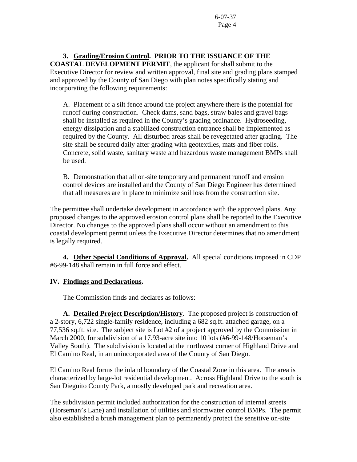**3. Grading/Erosion Control. PRIOR TO THE ISSUANCE OF THE COASTAL DEVELOPMENT PERMIT**, the applicant for shall submit to the Executive Director for review and written approval, final site and grading plans stamped and approved by the County of San Diego with plan notes specifically stating and incorporating the following requirements:

 A. Placement of a silt fence around the project anywhere there is the potential for runoff during construction. Check dams, sand bags, straw bales and gravel bags shall be installed as required in the County's grading ordinance. Hydroseeding, energy dissipation and a stabilized construction entrance shall be implemented as required by the County. All disturbed areas shall be revegetated after grading. The site shall be secured daily after grading with geotextiles, mats and fiber rolls. Concrete, solid waste, sanitary waste and hazardous waste management BMPs shall be used.

 B. Demonstration that all on-site temporary and permanent runoff and erosion control devices are installed and the County of San Diego Engineer has determined that all measures are in place to minimize soil loss from the construction site.

The permittee shall undertake development in accordance with the approved plans. Any proposed changes to the approved erosion control plans shall be reported to the Executive Director. No changes to the approved plans shall occur without an amendment to this coastal development permit unless the Executive Director determines that no amendment is legally required.

**4. Other Special Conditions of Approval.** All special conditions imposed in CDP #6-99-148 shall remain in full force and effect.

## **IV. Findings and Declarations.**

The Commission finds and declares as follows:

**A. Detailed Project Description/History**. The proposed project is construction of a 2-story, 6,722 single-family residence, including a 682 sq.ft. attached garage, on a 77,536 sq.ft. site. The subject site is Lot #2 of a project approved by the Commission in March 2000, for subdivision of a 17.93-acre site into 10 lots (#6-99-148/Horseman's Valley South). The subdivision is located at the northwest corner of Highland Drive and El Camino Real, in an unincorporated area of the County of San Diego.

El Camino Real forms the inland boundary of the Coastal Zone in this area. The area is characterized by large-lot residential development. Across Highland Drive to the south is San Dieguito County Park, a mostly developed park and recreation area.

The subdivision permit included authorization for the construction of internal streets (Horseman's Lane) and installation of utilities and stormwater control BMPs. The permit also established a brush management plan to permanently protect the sensitive on-site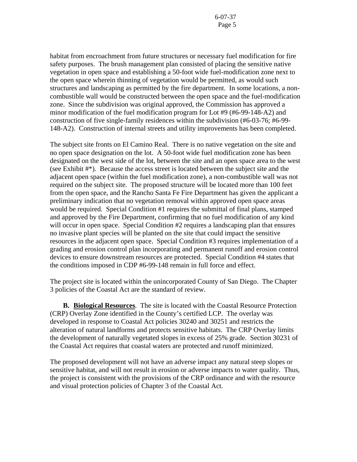habitat from encroachment from future structures or necessary fuel modification for fire safety purposes. The brush management plan consisted of placing the sensitive native vegetation in open space and establishing a 50-foot wide fuel-modification zone next to the open space wherein thinning of vegetation would be permitted, as would such structures and landscaping as permitted by the fire department. In some locations, a noncombustible wall would be constructed between the open space and the fuel-modification zone. Since the subdivision was original approved, the Commission has approved a minor modification of the fuel modification program for Lot #9 (#6-99-148-A2) and construction of five single-family residences within the subdivision (#6-03-76; #6-99- 148-A2). Construction of internal streets and utility improvements has been completed.

The subject site fronts on El Camino Real. There is no native vegetation on the site and no open space designation on the lot. A 50-foot wide fuel modification zone has been designated on the west side of the lot, between the site and an open space area to the west (see Exhibit #\*). Because the access street is located between the subject site and the adjacent open space (within the fuel modification zone), a non-combustible wall was not required on the subject site. The proposed structure will be located more than 100 feet from the open space, and the Rancho Santa Fe Fire Department has given the applicant a preliminary indication that no vegetation removal within approved open space areas would be required. Special Condition #1 requires the submittal of final plans, stamped and approved by the Fire Department, confirming that no fuel modification of any kind will occur in open space. Special Condition #2 requires a landscaping plan that ensures no invasive plant species will be planted on the site that could impact the sensitive resources in the adjacent open space. Special Condition #3 requires implementation of a grading and erosion control plan incorporating and permanent runoff and erosion control devices to ensure downstream resources are protected. Special Condition #4 states that the conditions imposed in CDP #6-99-148 remain in full force and effect.

The project site is located within the unincorporated County of San Diego. The Chapter 3 policies of the Coastal Act are the standard of review.

**B. Biological Resources**. The site is located with the Coastal Resource Protection (CRP) Overlay Zone identified in the County's certified LCP. The overlay was developed in response to Coastal Act policies 30240 and 30251 and restricts the alteration of natural landforms and protects sensitive habitats. The CRP Overlay limits the development of naturally vegetated slopes in excess of 25% grade. Section 30231 of the Coastal Act requires that coastal waters are protected and runoff minimized.

The proposed development will not have an adverse impact any natural steep slopes or sensitive habitat, and will not result in erosion or adverse impacts to water quality. Thus, the project is consistent with the provisions of the CRP ordinance and with the resource and visual protection policies of Chapter 3 of the Coastal Act.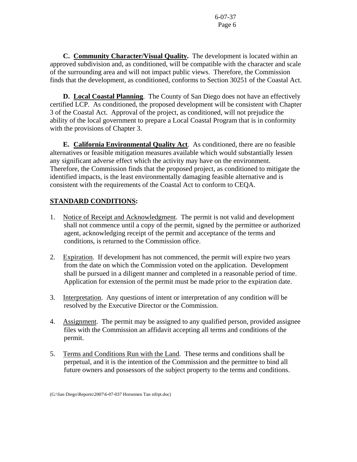**C. Community Character/Visual Quality.** The development is located within an approved subdivision and, as conditioned, will be compatible with the character and scale of the surrounding area and will not impact public views. Therefore, the Commission finds that the development, as conditioned, conforms to Section 30251 of the Coastal Act.

**D. Local Coastal Planning**. The County of San Diego does not have an effectively certified LCP. As conditioned, the proposed development will be consistent with Chapter 3 of the Coastal Act. Approval of the project, as conditioned, will not prejudice the ability of the local government to prepare a Local Coastal Program that is in conformity with the provisions of Chapter 3.

 **E. California Environmental Quality Act**. As conditioned, there are no feasible alternatives or feasible mitigation measures available which would substantially lessen any significant adverse effect which the activity may have on the environment. Therefore, the Commission finds that the proposed project, as conditioned to mitigate the identified impacts, is the least environmentally damaging feasible alternative and is consistent with the requirements of the Coastal Act to conform to CEQA.

## **STANDARD CONDITIONS:**

- 1. Notice of Receipt and Acknowledgment. The permit is not valid and development shall not commence until a copy of the permit, signed by the permittee or authorized agent, acknowledging receipt of the permit and acceptance of the terms and conditions, is returned to the Commission office.
- 2. Expiration. If development has not commenced, the permit will expire two years from the date on which the Commission voted on the application. Development shall be pursued in a diligent manner and completed in a reasonable period of time. Application for extension of the permit must be made prior to the expiration date.
- 3. Interpretation. Any questions of intent or interpretation of any condition will be resolved by the Executive Director or the Commission.
- 4. Assignment. The permit may be assigned to any qualified person, provided assignee files with the Commission an affidavit accepting all terms and conditions of the permit.
- 5. Terms and Conditions Run with the Land. These terms and conditions shall be perpetual, and it is the intention of the Commission and the permittee to bind all future owners and possessors of the subject property to the terms and conditions.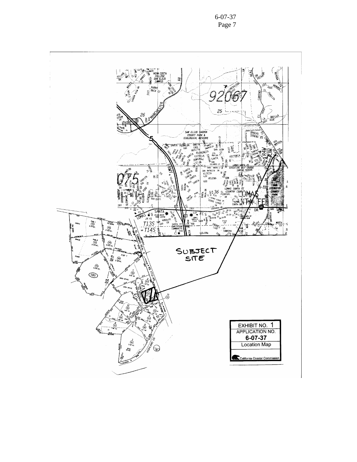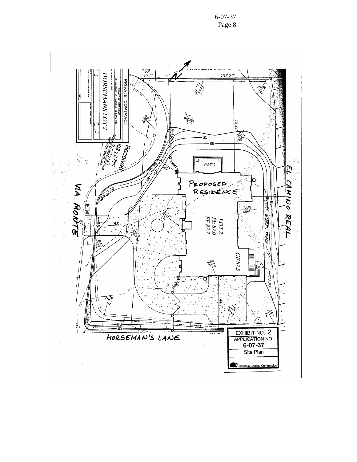6-07-37 Page 8